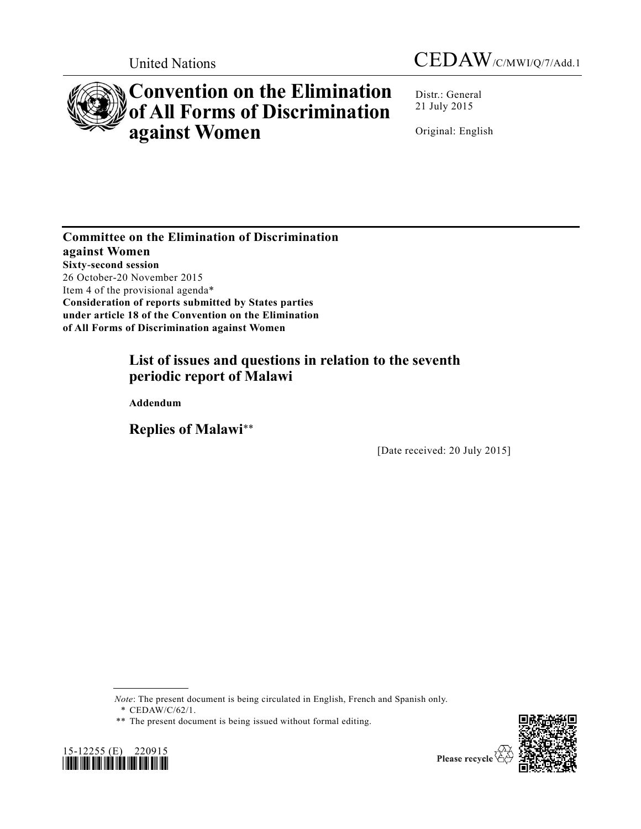



# **Convention on the Elimination of All Forms of Discrimination against Women**

Distr.: General 21 July 2015

Original: English

**Committee on the Elimination of Discrimination against Women Sixty-second session** 26 October-20 November 2015 Item 4 of the provisional agenda\* **Consideration of reports submitted by States parties under article 18 of the Convention on the Elimination of All Forms of Discrimination against Women**

# **List of issues and questions in relation to the seventh periodic report of Malawi**

**Addendum**

**Replies of Malawi**\*\*

[Date received: 20 July 2015]

*Note*: The present document is being circulated in English, French and Spanish only.

\* [CEDAW/C/62/1.](http://undocs.org/CEDAW/C/62/1)

<sup>\*\*</sup> The present document is being issued without formal editing.

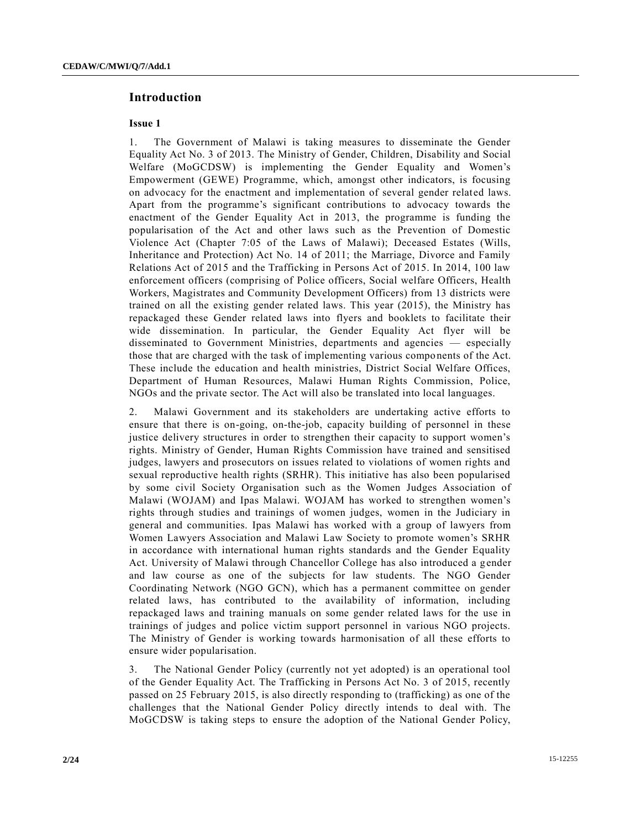# **Introduction**

## **Issue 1**

1. The Government of Malawi is taking measures to disseminate the Gender Equality Act No. 3 of 2013. The Ministry of Gender, Children, Disability and Social Welfare (MoGCDSW) is implementing the Gender Equality and Women's Empowerment (GEWE) Programme, which, amongst other indicators, is focusing on advocacy for the enactment and implementation of several gender related laws. Apart from the programme's significant contributions to advocacy towards the enactment of the Gender Equality Act in 2013, the programme is funding the popularisation of the Act and other laws such as the Prevention of Domestic Violence Act (Chapter 7:05 of the Laws of Malawi); Deceased Estates (Wills, Inheritance and Protection) Act No. 14 of 2011; the Marriage, Divorce and Family Relations Act of 2015 and the Trafficking in Persons Act of 2015. In 2014, 100 law enforcement officers (comprising of Police officers, Social welfare Officers, Health Workers, Magistrates and Community Development Officers) from 13 districts were trained on all the existing gender related laws. This year (2015), the Ministry has repackaged these Gender related laws into flyers and booklets to facilitate their wide dissemination. In particular, the Gender Equality Act flyer will be disseminated to Government Ministries, departments and agencies — especially those that are charged with the task of implementing various components of the Act. These include the education and health ministries, District Social Welfare Offices, Department of Human Resources, Malawi Human Rights Commission, Police, NGOs and the private sector. The Act will also be translated into local languages.

2. Malawi Government and its stakeholders are undertaking active efforts to ensure that there is on-going, on-the-job, capacity building of personnel in these justice delivery structures in order to strengthen their capacity to support women's rights. Ministry of Gender, Human Rights Commission have trained and sensitised judges, lawyers and prosecutors on issues related to violations of women rights and sexual reproductive health rights (SRHR). This initiative has also been popularised by some civil Society Organisation such as the Women Judges Association of Malawi (WOJAM) and Ipas Malawi. WOJAM has worked to strengthen women's rights through studies and trainings of women judges, women in the Judiciary in general and communities. Ipas Malawi has worked with a group of lawyers from Women Lawyers Association and Malawi Law Society to promote women's SRHR in accordance with international human rights standards and the Gender Equality Act. University of Malawi through Chancellor College has also introduced a gender and law course as one of the subjects for law students. The NGO Gender Coordinating Network (NGO GCN), which has a permanent committee on gender related laws, has contributed to the availability of information, including repackaged laws and training manuals on some gender related laws for the use in trainings of judges and police victim support personnel in various NGO projects. The Ministry of Gender is working towards harmonisation of all these efforts to ensure wider popularisation.

3. The National Gender Policy (currently not yet adopted) is an operational tool of the Gender Equality Act. The Trafficking in Persons Act No. 3 of 2015, recently passed on 25 February 2015, is also directly responding to (trafficking) as one of the challenges that the National Gender Policy directly intends to deal with. The MoGCDSW is taking steps to ensure the adoption of the National Gender Policy,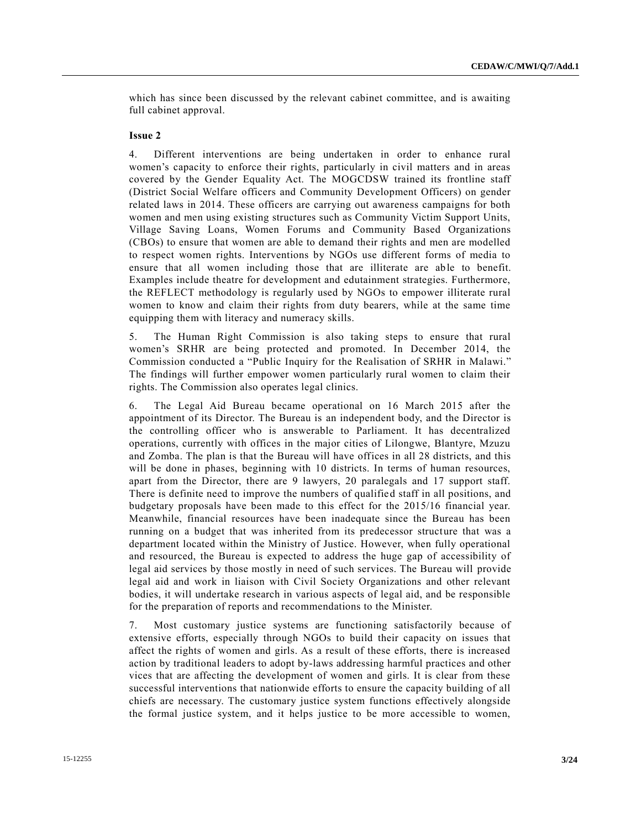which has since been discussed by the relevant cabinet committee, and is awaiting full cabinet approval.

#### **Issue 2**

4. Different interventions are being undertaken in order to enhance rural women's capacity to enforce their rights, particularly in civil matters and in areas covered by the Gender Equality Act. The MOGCDSW trained its frontline staff (District Social Welfare officers and Community Development Officers) on gender related laws in 2014. These officers are carrying out awareness campaigns for both women and men using existing structures such as Community Victim Support Units, Village Saving Loans, Women Forums and Community Based Organizations (CBOs) to ensure that women are able to demand their rights and men are modelled to respect women rights. Interventions by NGOs use different forms of media to ensure that all women including those that are illiterate are able to benefit. Examples include theatre for development and edutainment strategies. Furthermore, the REFLECT methodology is regularly used by NGOs to empower illiterate rural women to know and claim their rights from duty bearers, while at the same time equipping them with literacy and numeracy skills.

5. The Human Right Commission is also taking steps to ensure that rural women's SRHR are being protected and promoted. In December 2014, the Commission conducted a "Public Inquiry for the Realisation of SRHR in Malawi." The findings will further empower women particularly rural women to claim their rights. The Commission also operates legal clinics.

6. The Legal Aid Bureau became operational on 16 March 2015 after the appointment of its Director. The Bureau is an independent body, and the Director is the controlling officer who is answerable to Parliament. It has decentralized operations, currently with offices in the major cities of Lilongwe, Blantyre, Mzuzu and Zomba. The plan is that the Bureau will have offices in all 28 districts, and this will be done in phases, beginning with 10 districts. In terms of human resources, apart from the Director, there are 9 lawyers, 20 paralegals and 17 support staff. There is definite need to improve the numbers of qualified staff in all positions, and budgetary proposals have been made to this effect for the 2015/16 financial year. Meanwhile, financial resources have been inadequate since the Bureau has been running on a budget that was inherited from its predecessor structure that was a department located within the Ministry of Justice. However, when fully operational and resourced, the Bureau is expected to address the huge gap of accessibility of legal aid services by those mostly in need of such services. The Bureau will provide legal aid and work in liaison with Civil Society Organizations and other relevant bodies, it will undertake research in various aspects of legal aid, and be responsible for the preparation of reports and recommendations to the Minister.

7. Most customary justice systems are functioning satisfactorily because of extensive efforts, especially through NGOs to build their capacity on issues that affect the rights of women and girls. As a result of these efforts, there is increased action by traditional leaders to adopt by-laws addressing harmful practices and other vices that are affecting the development of women and girls. It is clear from these successful interventions that nationwide efforts to ensure the capacity building of all chiefs are necessary. The customary justice system functions effectively alongside the formal justice system, and it helps justice to be more accessible to women,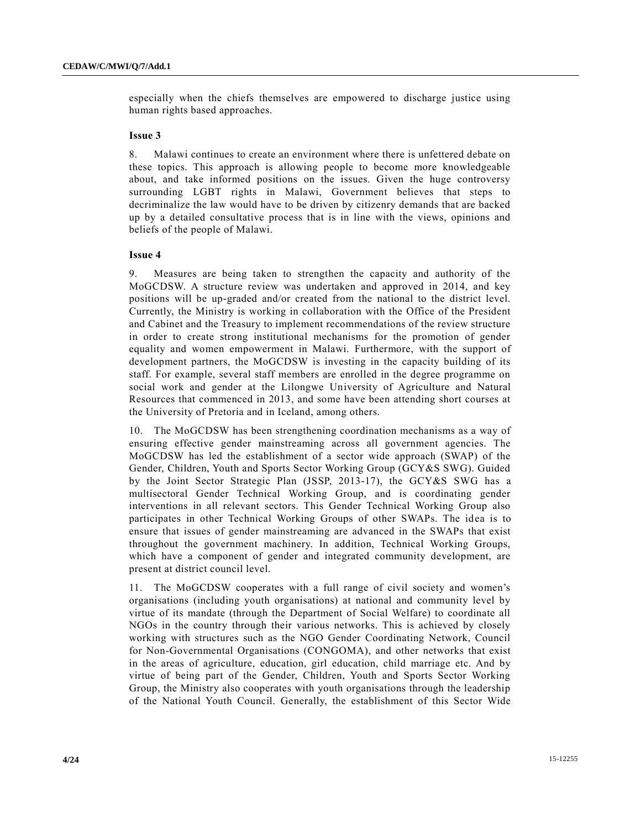especially when the chiefs themselves are empowered to discharge justice using human rights based approaches.

#### **Issue 3**

8. Malawi continues to create an environment where there is unfettered debate on these topics. This approach is allowing people to become more knowledgeable about, and take informed positions on the issues. Given the huge controversy surrounding LGBT rights in Malawi, Government believes that steps to decriminalize the law would have to be driven by citizenry demands that are backed up by a detailed consultative process that is in line with the views, opinions and beliefs of the people of Malawi.

#### **Issue 4**

9. Measures are being taken to strengthen the capacity and authority of the MoGCDSW. A structure review was undertaken and approved in 2014, and key positions will be up-graded and/or created from the national to the district level. Currently, the Ministry is working in collaboration with the Office of the President and Cabinet and the Treasury to implement recommendations of the review structure in order to create strong institutional mechanisms for the promotion of gender equality and women empowerment in Malawi. Furthermore, with the support of development partners, the MoGCDSW is investing in the capacity building of its staff. For example, several staff members are enrolled in the degree programme on social work and gender at the Lilongwe University of Agriculture and Natural Resources that commenced in 2013, and some have been attending short courses at the University of Pretoria and in Iceland, among others.

10. The MoGCDSW has been strengthening coordination mechanisms as a way of ensuring effective gender mainstreaming across all government agencies. The MoGCDSW has led the establishment of a sector wide approach (SWAP) of the Gender, Children, Youth and Sports Sector Working Group (GCY&S SWG). Guided by the Joint Sector Strategic Plan (JSSP, 2013-17), the GCY&S SWG has a multisectoral Gender Technical Working Group, and is coordinating gender interventions in all relevant sectors. This Gender Technical Working Group also participates in other Technical Working Groups of other SWAPs. The idea is to ensure that issues of gender mainstreaming are advanced in the SWAPs that exist throughout the government machinery. In addition, Technical Working Groups, which have a component of gender and integrated community development, are present at district council level.

11. The MoGCDSW cooperates with a full range of civil society and women's organisations (including youth organisations) at national and community level by virtue of its mandate (through the Department of Social Welfare) to coordinate all NGOs in the country through their various networks. This is achieved by closely working with structures such as the NGO Gender Coordinating Network, Council for Non-Governmental Organisations (CONGOMA), and other networks that exist in the areas of agriculture, education, girl education, child marriage etc. And by virtue of being part of the Gender, Children, Youth and Sports Sector Working Group, the Ministry also cooperates with youth organisations through the leadership of the National Youth Council. Generally, the establishment of this Sector Wide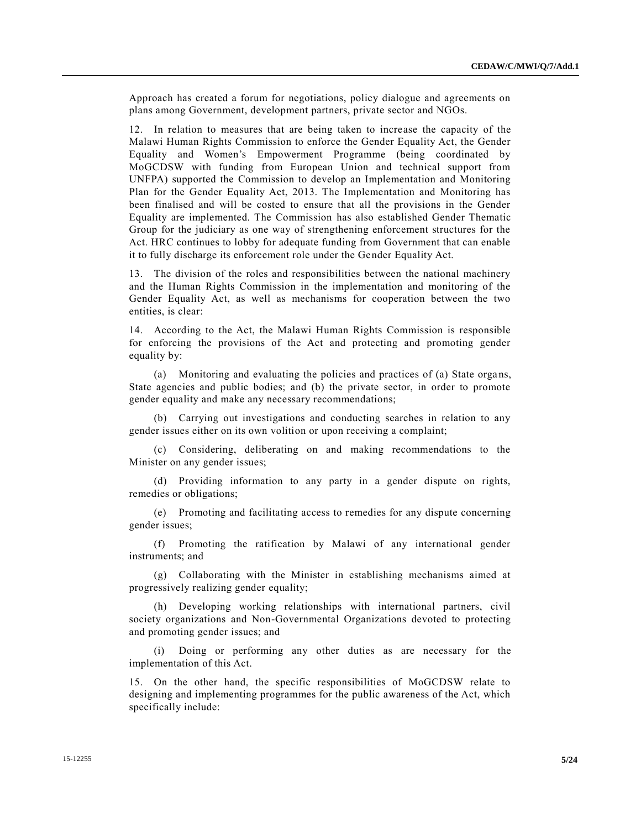Approach has created a forum for negotiations, policy dialogue and agreements on plans among Government, development partners, private sector and NGOs.

12. In relation to measures that are being taken to increase the capacity of the Malawi Human Rights Commission to enforce the Gender Equality Act, the Gender Equality and Women's Empowerment Programme (being coordinated by MoGCDSW with funding from European Union and technical support from UNFPA) supported the Commission to develop an Implementation and Monitoring Plan for the Gender Equality Act, 2013. The Implementation and Monitoring has been finalised and will be costed to ensure that all the provisions in the Gender Equality are implemented. The Commission has also established Gender Thematic Group for the judiciary as one way of strengthening enforcement structures for the Act. HRC continues to lobby for adequate funding from Government that can enable it to fully discharge its enforcement role under the Gender Equality Act.

13. The division of the roles and responsibilities between the national machinery and the Human Rights Commission in the implementation and monitoring of the Gender Equality Act, as well as mechanisms for cooperation between the two entities, is clear:

14. According to the Act, the Malawi Human Rights Commission is responsible for enforcing the provisions of the Act and protecting and promoting gender equality by:

(a) Monitoring and evaluating the policies and practices of (a) State organs, State agencies and public bodies; and (b) the private sector, in order to promote gender equality and make any necessary recommendations;

(b) Carrying out investigations and conducting searches in relation to any gender issues either on its own volition or upon receiving a complaint;

(c) Considering, deliberating on and making recommendations to the Minister on any gender issues;

(d) Providing information to any party in a gender dispute on rights, remedies or obligations;

(e) Promoting and facilitating access to remedies for any dispute concerning gender issues;

(f) Promoting the ratification by Malawi of any international gender instruments; and

(g) Collaborating with the Minister in establishing mechanisms aimed at progressively realizing gender equality;

(h) Developing working relationships with international partners, civil society organizations and Non-Governmental Organizations devoted to protecting and promoting gender issues; and

(i) Doing or performing any other duties as are necessary for the implementation of this Act.

15. On the other hand, the specific responsibilities of MoGCDSW relate to designing and implementing programmes for the public awareness of the Act, which specifically include: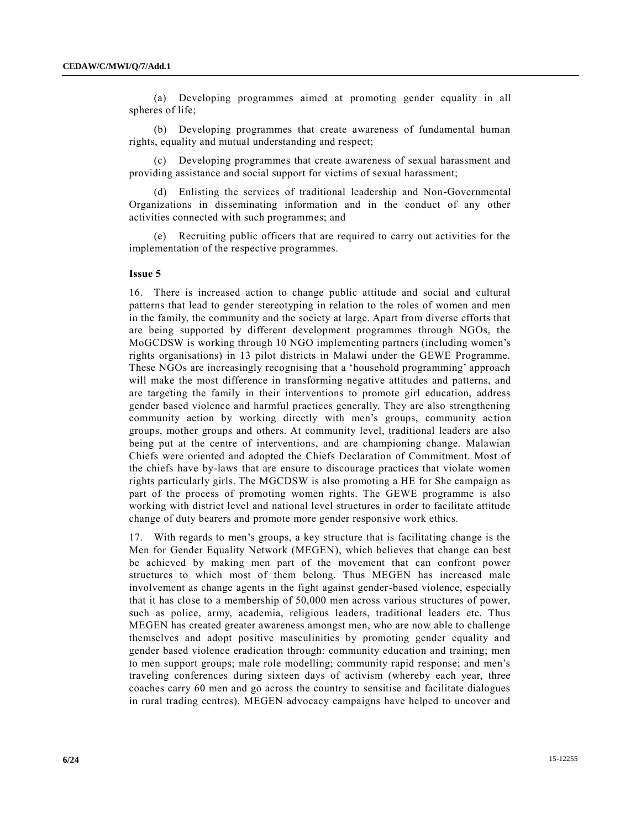(a) Developing programmes aimed at promoting gender equality in all spheres of life;

(b) Developing programmes that create awareness of fundamental human rights, equality and mutual understanding and respect;

(c) Developing programmes that create awareness of sexual harassment and providing assistance and social support for victims of sexual harassment;

(d) Enlisting the services of traditional leadership and Non-Governmental Organizations in disseminating information and in the conduct of any other activities connected with such programmes; and

(e) Recruiting public officers that are required to carry out activities for the implementation of the respective programmes.

#### **Issue 5**

16. There is increased action to change public attitude and social and cultural patterns that lead to gender stereotyping in relation to the roles of women and men in the family, the community and the society at large. Apart from diverse efforts that are being supported by different development programmes through NGOs, the MoGCDSW is working through 10 NGO implementing partners (including women's rights organisations) in 13 pilot districts in Malawi under the GEWE Programme. These NGOs are increasingly recognising that a 'household programming' approach will make the most difference in transforming negative attitudes and patterns, and are targeting the family in their interventions to promote girl education, address gender based violence and harmful practices generally. They are also strengthening community action by working directly with men's groups, community action groups, mother groups and others. At community level, traditional leaders are also being put at the centre of interventions, and are championing change. Malawian Chiefs were oriented and adopted the Chiefs Declaration of Commitment. Most of the chiefs have by-laws that are ensure to discourage practices that violate women rights particularly girls. The MGCDSW is also promoting a HE for She campaign as part of the process of promoting women rights. The GEWE programme is also working with district level and national level structures in order to facilitate attitude change of duty bearers and promote more gender responsive work ethics.

17. With regards to men's groups, a key structure that is facilitating change is the Men for Gender Equality Network (MEGEN), which believes that change can best be achieved by making men part of the movement that can confront power structures to which most of them belong. Thus MEGEN has increased male involvement as change agents in the fight against gender-based violence, especially that it has close to a membership of 50,000 men across various structures of power, such as police, army, academia, religious leaders, traditional leaders etc. Thus MEGEN has created greater awareness amongst men, who are now able to challenge themselves and adopt positive masculinities by promoting gender equality and gender based violence eradication through: community education and training; men to men support groups; male role modelling; community rapid response; and men's traveling conferences during sixteen days of activism (whereby each year, three coaches carry 60 men and go across the country to sensitise and facilitate dialogues in rural trading centres). MEGEN advocacy campaigns have helped to uncover and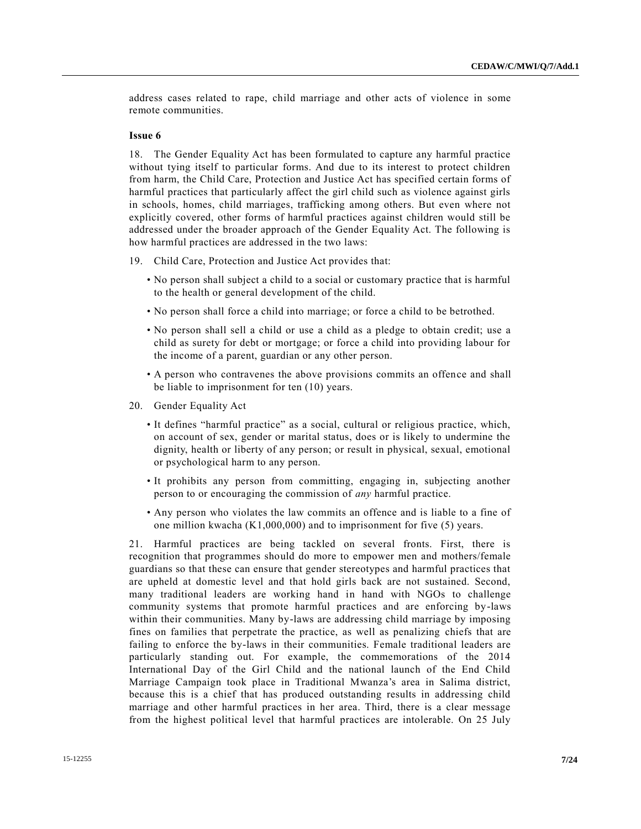address cases related to rape, child marriage and other acts of violence in some remote communities.

#### **Issue 6**

18. The Gender Equality Act has been formulated to capture any harmful practice without tying itself to particular forms. And due to its interest to protect children from harm, the Child Care, Protection and Justice Act has specified certain forms of harmful practices that particularly affect the girl child such as violence against girls in schools, homes, child marriages, trafficking among others. But even where not explicitly covered, other forms of harmful practices against children would still be addressed under the broader approach of the Gender Equality Act. The following is how harmful practices are addressed in the two laws:

- 19. Child Care, Protection and Justice Act provides that:
	- No person shall subject a child to a social or customary practice that is harmful to the health or general development of the child.
	- No person shall force a child into marriage; or force a child to be betrothed.
	- No person shall sell a child or use a child as a pledge to obtain credit; use a child as surety for debt or mortgage; or force a child into providing labour for the income of a parent, guardian or any other person.
	- A person who contravenes the above provisions commits an offence and shall be liable to imprisonment for ten (10) years.
- 20. Gender Equality Act
	- It defines "harmful practice" as a social, cultural or religious practice, which, on account of sex, gender or marital status, does or is likely to undermine the dignity, health or liberty of any person; or result in physical, sexual, emotional or psychological harm to any person.
	- It prohibits any person from committing, engaging in, subjecting another person to or encouraging the commission of *any* harmful practice.
	- Any person who violates the law commits an offence and is liable to a fine of one million kwacha (K1,000,000) and to imprisonment for five (5) years.

21. Harmful practices are being tackled on several fronts. First, there is recognition that programmes should do more to empower men and mothers/female guardians so that these can ensure that gender stereotypes and harmful practices that are upheld at domestic level and that hold girls back are not sustained. Second, many traditional leaders are working hand in hand with NGOs to challenge community systems that promote harmful practices and are enforcing by-laws within their communities. Many by-laws are addressing child marriage by imposing fines on families that perpetrate the practice, as well as penalizing chiefs that are failing to enforce the by-laws in their communities. Female traditional leaders are particularly standing out. For example, the commemorations of the 2014 International Day of the Girl Child and the national launch of the End Child Marriage Campaign took place in Traditional Mwanza's area in Salima district, because this is a chief that has produced outstanding results in addressing child marriage and other harmful practices in her area. Third, there is a clear message from the highest political level that harmful practices are intolerable. On 25 July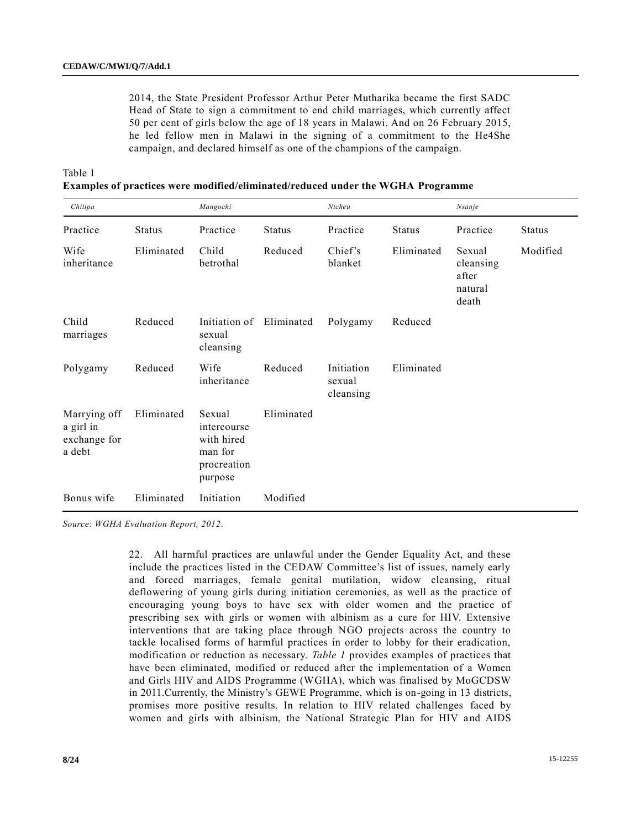2014, the State President Professor Arthur Peter Mutharika became the first SADC Head of State to sign a commitment to end child marriages, which currently affect 50 per cent of girls below the age of 18 years in Malawi. And on 26 February 2015, he led fellow men in Malawi in the signing of a commitment to the He4She campaign, and declared himself as one of the champions of the campaign.

Table 1

|  |  |  |  |  | Examples of practices were modified/eliminated/reduced under the WGHA Programme |
|--|--|--|--|--|---------------------------------------------------------------------------------|
|  |  |  |  |  |                                                                                 |

| Chitipa                                             |               | Mangochi                                                                 |               | Ntcheu                            |               | <b>Nsanje</b>                                    |               |
|-----------------------------------------------------|---------------|--------------------------------------------------------------------------|---------------|-----------------------------------|---------------|--------------------------------------------------|---------------|
| Practice                                            | <b>Status</b> | Practice                                                                 | <b>Status</b> | Practice                          | <b>Status</b> | Practice                                         | <b>Status</b> |
| Wife<br>inheritance                                 | Eliminated    | Child<br>betrothal                                                       | Reduced       | Chief's<br>blanket                | Eliminated    | Sexual<br>cleansing<br>after<br>natural<br>death | Modified      |
| Child<br>marriages                                  | Reduced       | Initiation of<br>sexual<br>cleansing                                     | Eliminated    | Polygamy                          | Reduced       |                                                  |               |
| Polygamy                                            | Reduced       | Wife<br>inheritance                                                      | Reduced       | Initiation<br>sexual<br>cleansing | Eliminated    |                                                  |               |
| Marrying off<br>a girl in<br>exchange for<br>a debt | Eliminated    | Sexual<br>intercourse<br>with hired<br>man for<br>procreation<br>purpose | Eliminated    |                                   |               |                                                  |               |
| Bonus wife                                          | Eliminated    | Initiation                                                               | Modified      |                                   |               |                                                  |               |

*Source*: *WGHA Evaluation Report, 2012*.

22. All harmful practices are unlawful under the Gender Equality Act, and these include the practices listed in the CEDAW Committee's list of issues, namely early and forced marriages, female genital mutilation, widow cleansing, ritual deflowering of young girls during initiation ceremonies, as well as the practice of encouraging young boys to have sex with older women and the practice of prescribing sex with girls or women with albinism as a cure for HIV. Extensive interventions that are taking place through NGO projects across the country to tackle localised forms of harmful practices in order to lobby for their eradication, modification or reduction as necessary. *Table 1* provides examples of practices that have been eliminated, modified or reduced after the implementation of a Women and Girls HIV and AIDS Programme (WGHA), which was finalised by MoGCDSW in 2011.Currently, the Ministry's GEWE Programme, which is on-going in 13 districts, promises more positive results. In relation to HIV related challenges faced by women and girls with albinism, the National Strategic Plan for HIV and AIDS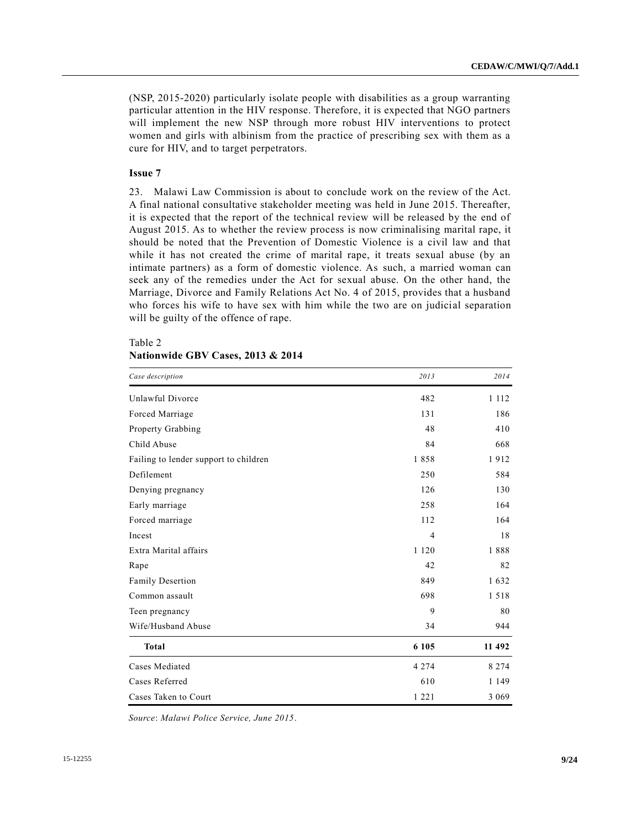(NSP, 2015-2020) particularly isolate people with disabilities as a group warranting particular attention in the HIV response. Therefore, it is expected that NGO partners will implement the new NSP through more robust HIV interventions to protect women and girls with albinism from the practice of prescribing sex with them as a cure for HIV, and to target perpetrators.

#### **Issue 7**

23. Malawi Law Commission is about to conclude work on the review of the Act. A final national consultative stakeholder meeting was held in June 2015. Thereafter, it is expected that the report of the technical review will be released by the end of August 2015. As to whether the review process is now criminalising marital rape, it should be noted that the Prevention of Domestic Violence is a civil law and that while it has not created the crime of marital rape, it treats sexual abuse (by an intimate partners) as a form of domestic violence. As such, a married woman can seek any of the remedies under the Act for sexual abuse. On the other hand, the Marriage, Divorce and Family Relations Act No. 4 of 2015, provides that a husband who forces his wife to have sex with him while the two are on judicial separation will be guilty of the offence of rape.

| Case description                      | 2013           | 2014    |
|---------------------------------------|----------------|---------|
| Unlawful Divorce                      | 482            | 1 1 1 2 |
| Forced Marriage                       | 131            | 186     |
| <b>Property Grabbing</b>              | 48             | 410     |
| Child Abuse                           | 84             | 668     |
| Failing to lender support to children | 1858           | 1912    |
| Defilement                            | 250            | 584     |
| Denying pregnancy                     | 126            | 130     |
| Early marriage                        | 258            | 164     |
| Forced marriage                       | 112            | 164     |
| Incest                                | $\overline{4}$ | 18      |
| Extra Marital affairs                 | 1 1 2 0        | 1888    |
| Rape                                  | 42             | 82      |
| Family Desertion                      | 849            | 1632    |
| Common assault                        | 698            | 1518    |
| Teen pregnancy                        | 9              | 80      |
| Wife/Husband Abuse                    | 34             | 944     |
| <b>Total</b>                          | 6 1 0 5        | 11 492  |
| Cases Mediated                        | 4 2 7 4        | 8 2 7 4 |
| Cases Referred                        | 610            | 1 1 4 9 |
| Cases Taken to Court                  | 1 2 2 1        | 3 0 6 9 |

# Table 2 **Nationwide GBV Cases, 2013 & 2014**

*Source*: *Malawi Police Service, June 2015*.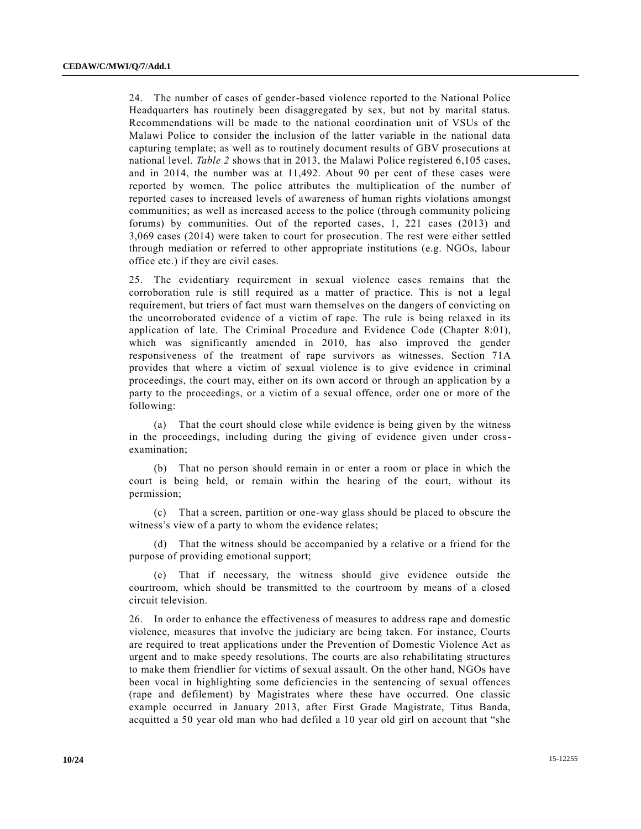24. The number of cases of gender-based violence reported to the National Police Headquarters has routinely been disaggregated by sex, but not by marital status. Recommendations will be made to the national coordination unit of VSUs of the Malawi Police to consider the inclusion of the latter variable in the national data capturing template; as well as to routinely document results of GBV prosecutions at national level. *Table 2* shows that in 2013, the Malawi Police registered 6,105 cases, and in 2014, the number was at 11,492. About 90 per cent of these cases were reported by women. The police attributes the multiplication of the number of reported cases to increased levels of awareness of human rights violations amongst communities; as well as increased access to the police (through community policing forums) by communities. Out of the reported cases, 1, 221 cases (2013) and 3,069 cases (2014) were taken to court for prosecution. The rest were either settled through mediation or referred to other appropriate institutions (e.g. NGOs, labour office etc.) if they are civil cases.

25. The evidentiary requirement in sexual violence cases remains that the corroboration rule is still required as a matter of practice. This is not a legal requirement, but triers of fact must warn themselves on the dangers of convicting on the uncorroborated evidence of a victim of rape. The rule is being relaxed in its application of late. The Criminal Procedure and Evidence Code (Chapter 8:01), which was significantly amended in 2010, has also improved the gender responsiveness of the treatment of rape survivors as witnesses. Section 71A provides that where a victim of sexual violence is to give evidence in criminal proceedings, the court may, either on its own accord or through an application by a party to the proceedings, or a victim of a sexual offence, order one or more of the following:

(a) That the court should close while evidence is being given by the witness in the proceedings, including during the giving of evidence given under crossexamination;

(b) That no person should remain in or enter a room or place in which the court is being held, or remain within the hearing of the court, without its permission;

(c) That a screen, partition or one-way glass should be placed to obscure the witness's view of a party to whom the evidence relates;

(d) That the witness should be accompanied by a relative or a friend for the purpose of providing emotional support;

(e) That if necessary, the witness should give evidence outside the courtroom, which should be transmitted to the courtroom by means of a closed circuit television.

26. In order to enhance the effectiveness of measures to address rape and domestic violence, measures that involve the judiciary are being taken. For instance, Courts are required to treat applications under the Prevention of Domestic Violence Act as urgent and to make speedy resolutions. The courts are also rehabilitating structures to make them friendlier for victims of sexual assault. On the other hand, NGOs have been vocal in highlighting some deficiencies in the sentencing of sexual offences (rape and defilement) by Magistrates where these have occurred. One classic example occurred in January 2013, after First Grade Magistrate, Titus Banda, acquitted a 50 year old man who had defiled a 10 year old girl on account that "she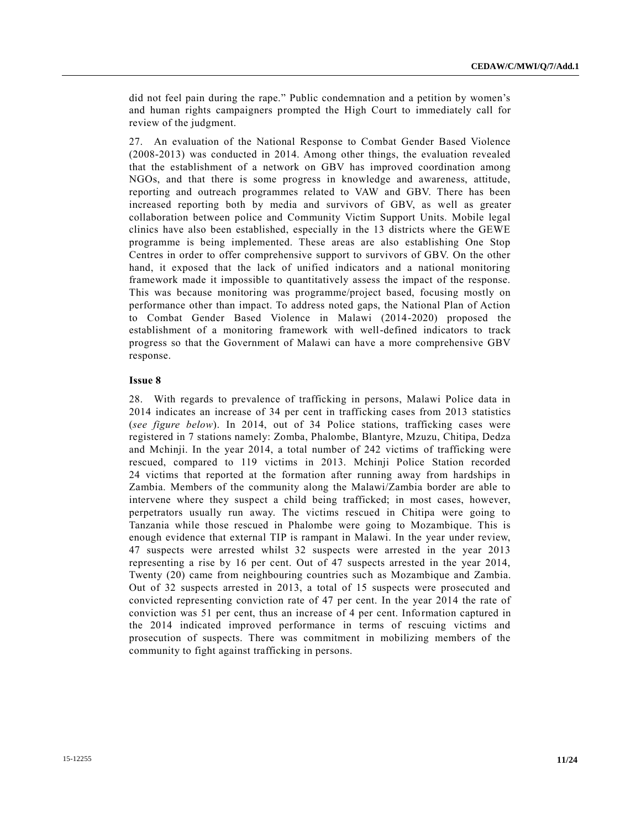did not feel pain during the rape." Public condemnation and a petition by women's and human rights campaigners prompted the High Court to immediately call for review of the judgment.

27. An evaluation of the National Response to Combat Gender Based Violence (2008-2013) was conducted in 2014. Among other things, the evaluation revealed that the establishment of a network on GBV has improved coordination among NGOs, and that there is some progress in knowledge and awareness, attitude, reporting and outreach programmes related to VAW and GBV. There has been increased reporting both by media and survivors of GBV, as well as greater collaboration between police and Community Victim Support Units. Mobile legal clinics have also been established, especially in the 13 districts where the GEWE programme is being implemented. These areas are also establishing One Stop Centres in order to offer comprehensive support to survivors of GBV. On the other hand, it exposed that the lack of unified indicators and a national monitoring framework made it impossible to quantitatively assess the impact of the response. This was because monitoring was programme/project based, focusing mostly on performance other than impact. To address noted gaps, the National Plan of Action to Combat Gender Based Violence in Malawi (2014-2020) proposed the establishment of a monitoring framework with well-defined indicators to track progress so that the Government of Malawi can have a more comprehensive GBV response.

#### **Issue 8**

28. With regards to prevalence of trafficking in persons, Malawi Police data in 2014 indicates an increase of 34 per cent in trafficking cases from 2013 statistics (*see figure below*). In 2014, out of 34 Police stations, trafficking cases were registered in 7 stations namely: Zomba, Phalombe, Blantyre, Mzuzu, Chitipa, Dedza and Mchinji. In the year 2014, a total number of 242 victims of trafficking were rescued, compared to 119 victims in 2013. Mchinji Police Station recorded 24 victims that reported at the formation after running away from hardships in Zambia. Members of the community along the Malawi/Zambia border are able to intervene where they suspect a child being trafficked; in most cases, however, perpetrators usually run away. The victims rescued in Chitipa were going to Tanzania while those rescued in Phalombe were going to Mozambique. This is enough evidence that external TIP is rampant in Malawi. In the year under review, 47 suspects were arrested whilst 32 suspects were arrested in the year 2013 representing a rise by 16 per cent. Out of 47 suspects arrested in the year 2014, Twenty (20) came from neighbouring countries such as Mozambique and Zambia. Out of 32 suspects arrested in 2013, a total of 15 suspects were prosecuted and convicted representing conviction rate of 47 per cent. In the year 2014 the rate of conviction was 51 per cent, thus an increase of 4 per cent. Information captured in the 2014 indicated improved performance in terms of rescuing victims and prosecution of suspects. There was commitment in mobilizing members of the community to fight against trafficking in persons.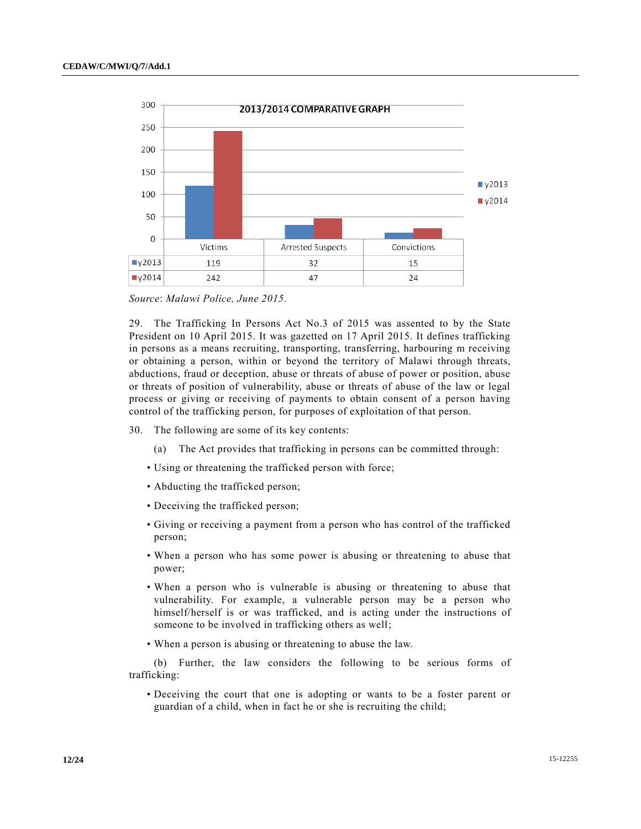

*Source*: *Malawi Police, June 2015*.

29. The Trafficking In Persons Act No.3 of 2015 was assented to by the State President on 10 April 2015. It was gazetted on 17 April 2015. It defines trafficking in persons as a means recruiting, transporting, transferring, harbouring m receiving or obtaining a person, within or beyond the territory of Malawi through threats, abductions, fraud or deception, abuse or threats of abuse of power or position, abuse or threats of position of vulnerability, abuse or threats of abuse of the law or legal process or giving or receiving of payments to obtain consent of a person having control of the trafficking person, for purposes of exploitation of that person.

- 30. The following are some of its key contents:
	- (a) The Act provides that trafficking in persons can be committed through:
	- Using or threatening the trafficked person with force;
	- Abducting the trafficked person;
	- Deceiving the trafficked person;
	- Giving or receiving a payment from a person who has control of the trafficked person;
	- When a person who has some power is abusing or threatening to abuse that power;
	- When a person who is vulnerable is abusing or threatening to abuse that vulnerability. For example, a vulnerable person may be a person who himself/herself is or was trafficked, and is acting under the instructions of someone to be involved in trafficking others as well;
	- When a person is abusing or threatening to abuse the law.

(b) Further, the law considers the following to be serious forms of trafficking:

• Deceiving the court that one is adopting or wants to be a foster parent or guardian of a child, when in fact he or she is recruiting the child;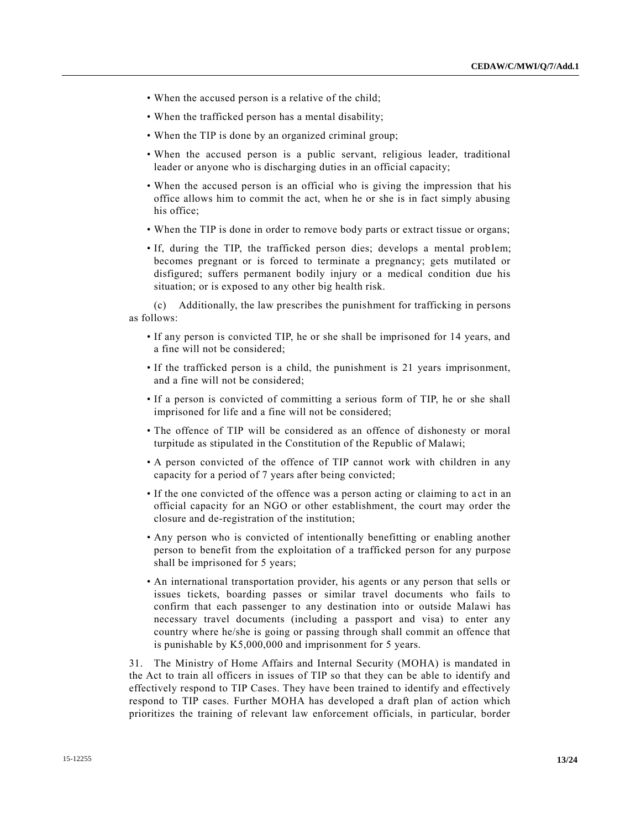- When the accused person is a relative of the child;
- When the trafficked person has a mental disability;
- When the TIP is done by an organized criminal group;
- When the accused person is a public servant, religious leader, traditional leader or anyone who is discharging duties in an official capacity;
- When the accused person is an official who is giving the impression that his office allows him to commit the act, when he or she is in fact simply abusing his office;
- When the TIP is done in order to remove body parts or extract tissue or organs;
- If, during the TIP, the trafficked person dies; develops a mental problem; becomes pregnant or is forced to terminate a pregnancy; gets mutilated or disfigured; suffers permanent bodily injury or a medical condition due his situation; or is exposed to any other big health risk.

(c) Additionally, the law prescribes the punishment for trafficking in persons as follows:

- If any person is convicted TIP, he or she shall be imprisoned for 14 years, and a fine will not be considered;
- If the trafficked person is a child, the punishment is 21 years imprisonment, and a fine will not be considered;
- If a person is convicted of committing a serious form of TIP, he or she shall imprisoned for life and a fine will not be considered;
- The offence of TIP will be considered as an offence of dishonesty or moral turpitude as stipulated in the Constitution of the Republic of Malawi;
- A person convicted of the offence of TIP cannot work with children in any capacity for a period of 7 years after being convicted;
- If the one convicted of the offence was a person acting or claiming to a ct in an official capacity for an NGO or other establishment, the court may order the closure and de-registration of the institution;
- Any person who is convicted of intentionally benefitting or enabling another person to benefit from the exploitation of a trafficked person for any purpose shall be imprisoned for 5 years;
- An international transportation provider, his agents or any person that sells or issues tickets, boarding passes or similar travel documents who fails to confirm that each passenger to any destination into or outside Malawi has necessary travel documents (including a passport and visa) to enter any country where he/she is going or passing through shall commit an offence that is punishable by K5,000,000 and imprisonment for 5 years.

31. The Ministry of Home Affairs and Internal Security (MOHA) is mandated in the Act to train all officers in issues of TIP so that they can be able to identify and effectively respond to TIP Cases. They have been trained to identify and effectively respond to TIP cases. Further MOHA has developed a draft plan of action which prioritizes the training of relevant law enforcement officials, in particular, border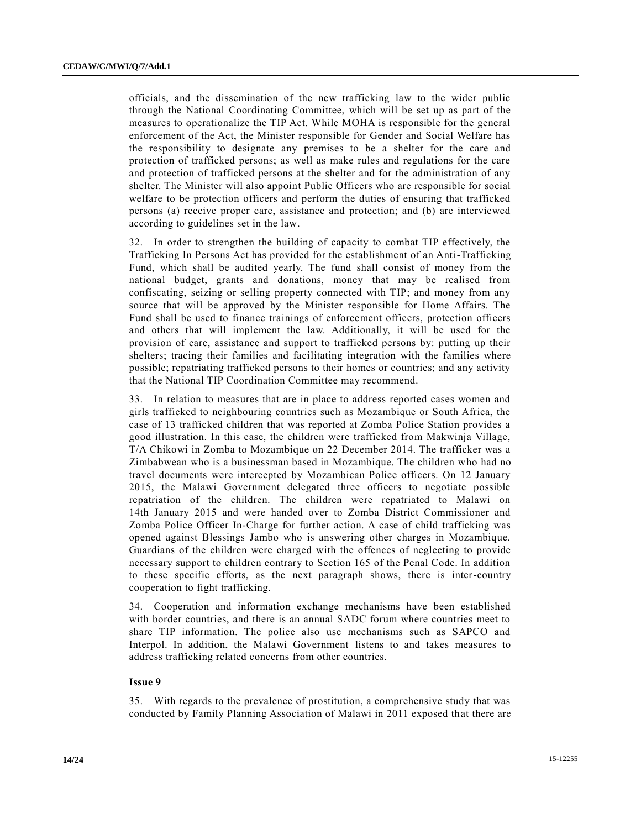officials, and the dissemination of the new trafficking law to the wider public through the National Coordinating Committee, which will be set up as part of the measures to operationalize the TIP Act. While MOHA is responsible for the general enforcement of the Act, the Minister responsible for Gender and Social Welfare has the responsibility to designate any premises to be a shelter for the care and protection of trafficked persons; as well as make rules and regulations for the care and protection of trafficked persons at the shelter and for the administration of any shelter. The Minister will also appoint Public Officers who are responsible for social welfare to be protection officers and perform the duties of ensuring that trafficked persons (a) receive proper care, assistance and protection; and (b) are interviewed according to guidelines set in the law.

32. In order to strengthen the building of capacity to combat TIP effectively, the Trafficking In Persons Act has provided for the establishment of an Anti-Trafficking Fund, which shall be audited yearly. The fund shall consist of money from the national budget, grants and donations, money that may be realised from confiscating, seizing or selling property connected with TIP; and money from any source that will be approved by the Minister responsible for Home Affairs. The Fund shall be used to finance trainings of enforcement officers, protection officers and others that will implement the law. Additionally, it will be used for the provision of care, assistance and support to trafficked persons by: putting up their shelters; tracing their families and facilitating integration with the families where possible; repatriating trafficked persons to their homes or countries; and any activity that the National TIP Coordination Committee may recommend.

33. In relation to measures that are in place to address reported cases women and girls trafficked to neighbouring countries such as Mozambique or South Africa, the case of 13 trafficked children that was reported at Zomba Police Station provides a good illustration. In this case, the children were trafficked from Makwinja Village, [T/A](http://undocs.org/T/A) Chikowi in Zomba to Mozambique on 22 December 2014. The trafficker was a Zimbabwean who is a businessman based in Mozambique. The children who had no travel documents were intercepted by Mozambican Police officers. On 12 January 2015, the Malawi Government delegated three officers to negotiate possible repatriation of the children. The children were repatriated to Malawi on 14th January 2015 and were handed over to Zomba District Commissioner and Zomba Police Officer In-Charge for further action. A case of child trafficking was opened against Blessings Jambo who is answering other charges in Mozambique. Guardians of the children were charged with the offences of neglecting to provide necessary support to children contrary to Section 165 of the Penal Code. In addition to these specific efforts, as the next paragraph shows, there is inter-country cooperation to fight trafficking.

34. Cooperation and information exchange mechanisms have been established with border countries, and there is an annual SADC forum where countries meet to share TIP information. The police also use mechanisms such as SAPCO and Interpol. In addition, the Malawi Government listens to and takes measures to address trafficking related concerns from other countries.

#### **Issue 9**

35. With regards to the prevalence of prostitution, a comprehensive study that was conducted by Family Planning Association of Malawi in 2011 exposed that there are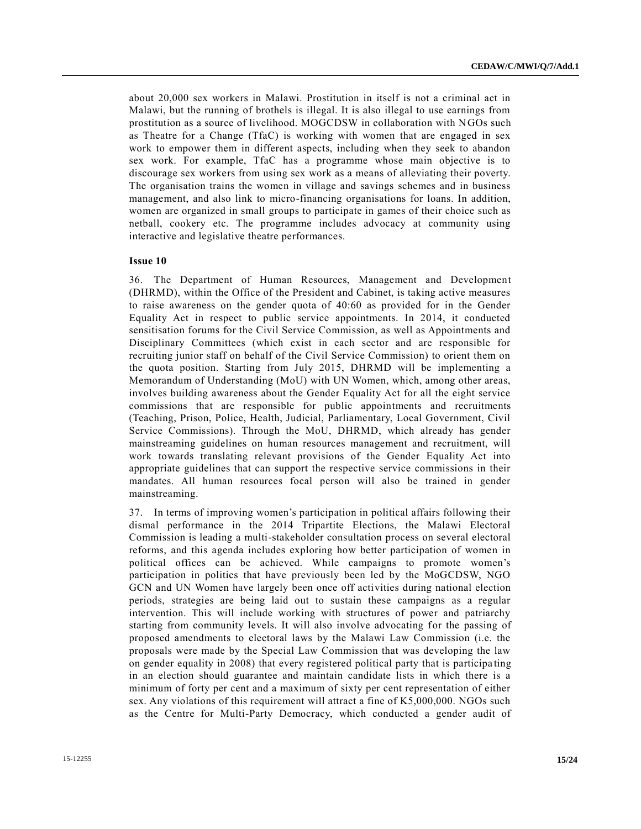about 20,000 sex workers in Malawi. Prostitution in itself is not a criminal act in Malawi, but the running of brothels is illegal. It is also illegal to use earnings from prostitution as a source of livelihood. MOGCDSW in collaboration with NGOs such as Theatre for a Change (TfaC) is working with women that are engaged in sex work to empower them in different aspects, including when they seek to abandon sex work. For example, TfaC has a programme whose main objective is to discourage sex workers from using sex work as a means of alleviating their poverty. The organisation trains the women in village and savings schemes and in business management, and also link to micro-financing organisations for loans. In addition, women are organized in small groups to participate in games of their choice such as netball, cookery etc. The programme includes advocacy at community using interactive and legislative theatre performances.

#### **Issue 10**

36. The Department of Human Resources, Management and Development (DHRMD), within the Office of the President and Cabinet, is taking active measures to raise awareness on the gender quota of 40:60 as provided for in the Gender Equality Act in respect to public service appointments. In 2014, it conducted sensitisation forums for the Civil Service Commission, as well as Appointments and Disciplinary Committees (which exist in each sector and are responsible for recruiting junior staff on behalf of the Civil Service Commission) to orient them on the quota position. Starting from July 2015, DHRMD will be implementing a Memorandum of Understanding (MoU) with UN Women, which, among other areas, involves building awareness about the Gender Equality Act for all the eight service commissions that are responsible for public appointments and recruitments (Teaching, Prison, Police, Health, Judicial, Parliamentary, Local Government, Civil Service Commissions). Through the MoU, DHRMD, which already has gender mainstreaming guidelines on human resources management and recruitment, will work towards translating relevant provisions of the Gender Equality Act into appropriate guidelines that can support the respective service commissions in their mandates. All human resources focal person will also be trained in gender mainstreaming.

37. In terms of improving women's participation in political affairs following their dismal performance in the 2014 Tripartite Elections, the Malawi Electoral Commission is leading a multi-stakeholder consultation process on several electoral reforms, and this agenda includes exploring how better participation of women in political offices can be achieved. While campaigns to promote women's participation in politics that have previously been led by the MoGCDSW, NGO GCN and UN Women have largely been once off activities during national election periods, strategies are being laid out to sustain these campaigns as a regular intervention. This will include working with structures of power and patriarchy starting from community levels. It will also involve advocating for the passing of proposed amendments to electoral laws by the Malawi Law Commission (i.e. the proposals were made by the Special Law Commission that was developing the law on gender equality in 2008) that every registered political party that is participa ting in an election should guarantee and maintain candidate lists in which there is a minimum of forty per cent and a maximum of sixty per cent representation of either sex. Any violations of this requirement will attract a fine of K5,000,000. NGOs such as the Centre for Multi-Party Democracy, which conducted a gender audit of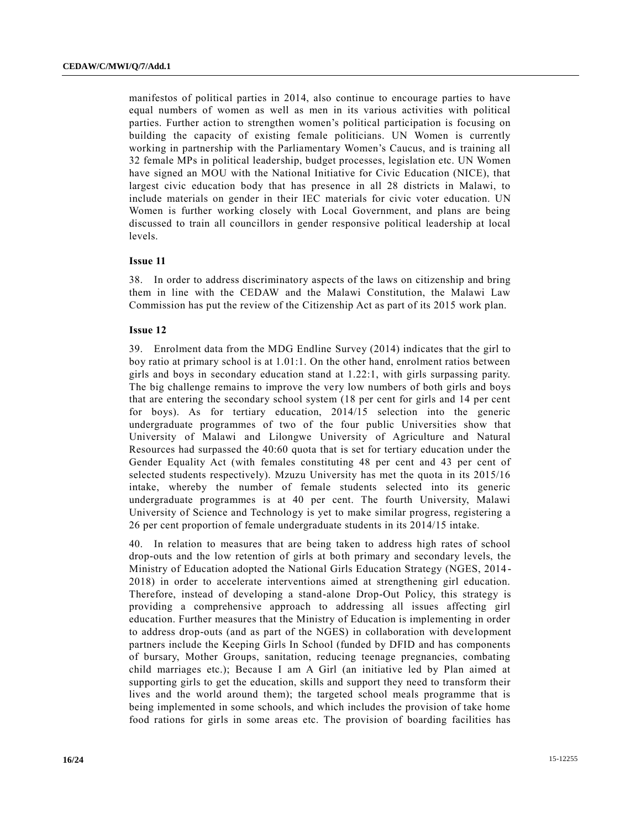manifestos of political parties in 2014, also continue to encourage parties to have equal numbers of women as well as men in its various activities with political parties. Further action to strengthen women's political participation is focusing on building the capacity of existing female politicians. UN Women is currently working in partnership with the Parliamentary Women's Caucus, and is training all 32 female MPs in political leadership, budget processes, legislation etc. UN Women have signed an MOU with the National Initiative for Civic Education (NICE), that largest civic education body that has presence in all 28 districts in Malawi, to include materials on gender in their IEC materials for civic voter education. UN Women is further working closely with Local Government, and plans are being discussed to train all councillors in gender responsive political leadership at local levels.

#### **Issue 11**

38. In order to address discriminatory aspects of the laws on citizenship and bring them in line with the CEDAW and the Malawi Constitution, the Malawi Law Commission has put the review of the Citizenship Act as part of its 2015 work plan.

#### **Issue 12**

39. Enrolment data from the MDG Endline Survey (2014) indicates that the girl to boy ratio at primary school is at 1.01:1. On the other hand, enrolment ratios between girls and boys in secondary education stand at 1.22:1, with girls surpassing parity. The big challenge remains to improve the very low numbers of both girls and boys that are entering the secondary school system (18 per cent for girls and 14 per cent for boys). As for tertiary education, 2014/15 selection into the generic undergraduate programmes of two of the four public Universities show that University of Malawi and Lilongwe University of Agriculture and Natural Resources had surpassed the 40:60 quota that is set for tertiary education under the Gender Equality Act (with females constituting 48 per cent and 43 per cent of selected students respectively). Mzuzu University has met the quota in its 2015/16 intake, whereby the number of female students selected into its generic undergraduate programmes is at 40 per cent. The fourth University, Malawi University of Science and Technology is yet to make similar progress, registering a 26 per cent proportion of female undergraduate students in its 2014/15 intake.

40. In relation to measures that are being taken to address high rates of school drop-outs and the low retention of girls at both primary and secondary levels, the Ministry of Education adopted the National Girls Education Strategy (NGES, 2014 - 2018) in order to accelerate interventions aimed at strengthening girl education. Therefore, instead of developing a stand-alone Drop-Out Policy, this strategy is providing a comprehensive approach to addressing all issues affecting girl education. Further measures that the Ministry of Education is implementing in order to address drop-outs (and as part of the NGES) in collaboration with development partners include the Keeping Girls In School (funded by DFID and has components of bursary, Mother Groups, sanitation, reducing teenage pregnancies, combating child marriages etc.); Because I am A Girl (an initiative led by Plan aimed at supporting girls to get the education, skills and support they need to transform their lives and the world around them); the targeted school meals programme that is being implemented in some schools, and which includes the provision of take home food rations for girls in some areas etc. The provision of boarding facilities has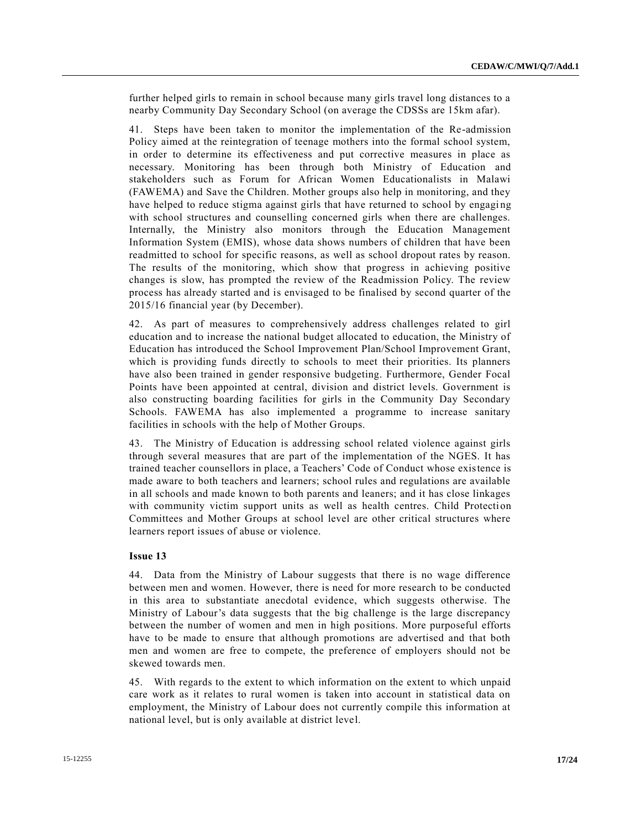further helped girls to remain in school because many girls travel long distances to a nearby Community Day Secondary School (on average the CDSSs are 15km afar).

41. Steps have been taken to monitor the implementation of the Re-admission Policy aimed at the reintegration of teenage mothers into the formal school system, in order to determine its effectiveness and put corrective measures in place as necessary. Monitoring has been through both Ministry of Education and stakeholders such as Forum for African Women Educationalists in Malawi (FAWEMA) and Save the Children. Mother groups also help in monitoring, and they have helped to reduce stigma against girls that have returned to school by engaging with school structures and counselling concerned girls when there are challenges. Internally, the Ministry also monitors through the Education Management Information System (EMIS), whose data shows numbers of children that have been readmitted to school for specific reasons, as well as school dropout rates by reason. The results of the monitoring, which show that progress in achieving positive changes is slow, has prompted the review of the Readmission Policy. The review process has already started and is envisaged to be finalised by second quarter of the 2015/16 financial year (by December).

42. As part of measures to comprehensively address challenges related to girl education and to increase the national budget allocated to education, the Ministry of Education has introduced the School Improvement Plan/School Improvement Grant, which is providing funds directly to schools to meet their priorities. Its planners have also been trained in gender responsive budgeting. Furthermore, Gender Focal Points have been appointed at central, division and district levels. Government is also constructing boarding facilities for girls in the Community Day Secondary Schools. FAWEMA has also implemented a programme to increase sanitary facilities in schools with the help of Mother Groups.

43. The Ministry of Education is addressing school related violence against girls through several measures that are part of the implementation of the NGES. It has trained teacher counsellors in place, a Teachers' Code of Conduct whose existence is made aware to both teachers and learners; school rules and regulations are available in all schools and made known to both parents and leaners; and it has close linkages with community victim support units as well as health centres. Child Protection Committees and Mother Groups at school level are other critical structures where learners report issues of abuse or violence.

## **Issue 13**

44. Data from the Ministry of Labour suggests that there is no wage difference between men and women. However, there is need for more research to be conducted in this area to substantiate anecdotal evidence, which suggests otherwise. The Ministry of Labour's data suggests that the big challenge is the large discrepancy between the number of women and men in high positions. More purposeful efforts have to be made to ensure that although promotions are advertised and that both men and women are free to compete, the preference of employers should not be skewed towards men.

45. With regards to the extent to which information on the extent to which unpaid care work as it relates to rural women is taken into account in statistical data on employment, the Ministry of Labour does not currently compile this information at national level, but is only available at district level.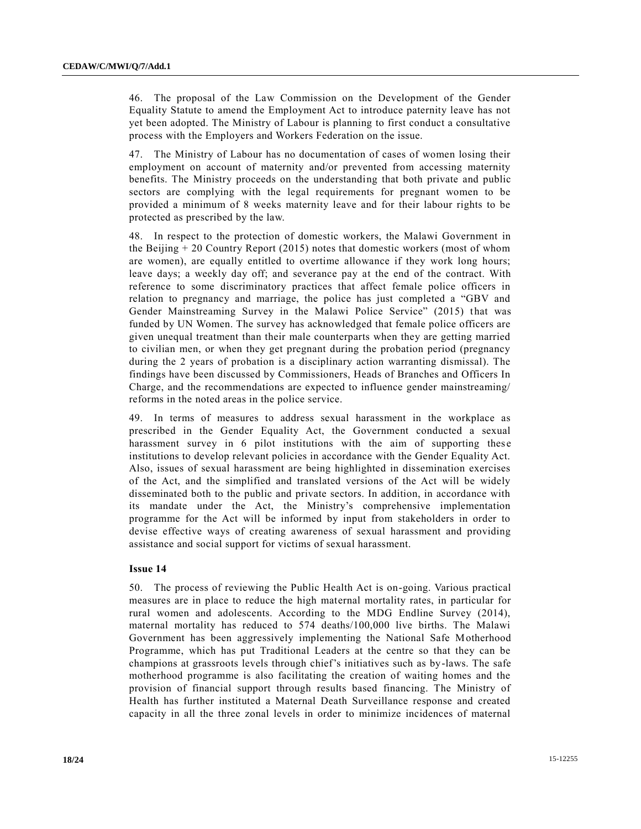46. The proposal of the Law Commission on the Development of the Gender Equality Statute to amend the Employment Act to introduce paternity leave has not yet been adopted. The Ministry of Labour is planning to first conduct a consultative process with the Employers and Workers Federation on the issue.

47. The Ministry of Labour has no documentation of cases of women losing their employment on account of maternity and/or prevented from accessing maternity benefits. The Ministry proceeds on the understanding that both private and public sectors are complying with the legal requirements for pregnant women to be provided a minimum of 8 weeks maternity leave and for their labour rights to be protected as prescribed by the law.

48. In respect to the protection of domestic workers, the Malawi Government in the Beijing + 20 Country Report (2015) notes that domestic workers (most of whom are women), are equally entitled to overtime allowance if they work long hours; leave days; a weekly day off; and severance pay at the end of the contract. With reference to some discriminatory practices that affect female police officers in relation to pregnancy and marriage, the police has just completed a "GBV and Gender Mainstreaming Survey in the Malawi Police Service" (2015) that was funded by UN Women. The survey has acknowledged that female police officers are given unequal treatment than their male counterparts when they are getting married to civilian men, or when they get pregnant during the probation period (pregnancy during the 2 years of probation is a disciplinary action warranting dismissal). The findings have been discussed by Commissioners, Heads of Branches and Officers In Charge, and the recommendations are expected to influence gender mainstreaming/ reforms in the noted areas in the police service.

49. In terms of measures to address sexual harassment in the workplace as prescribed in the Gender Equality Act, the Government conducted a sexual harassment survey in 6 pilot institutions with the aim of supporting these institutions to develop relevant policies in accordance with the Gender Equality Act. Also, issues of sexual harassment are being highlighted in dissemination exercises of the Act, and the simplified and translated versions of the Act will be widely disseminated both to the public and private sectors. In addition, in accordance with its mandate under the Act, the Ministry's comprehensive implementation programme for the Act will be informed by input from stakeholders in order to devise effective ways of creating awareness of sexual harassment and providing assistance and social support for victims of sexual harassment.

#### **Issue 14**

50. The process of reviewing the Public Health Act is on-going. Various practical measures are in place to reduce the high maternal mortality rates, in particular for rural women and adolescents. According to the MDG Endline Survey (2014), maternal mortality has reduced to 574 deaths/100,000 live births. The Malawi Government has been aggressively implementing the National Safe Motherhood Programme, which has put Traditional Leaders at the centre so that they can be champions at grassroots levels through chief's initiatives such as by-laws. The safe motherhood programme is also facilitating the creation of waiting homes and the provision of financial support through results based financing. The Ministry of Health has further instituted a Maternal Death Surveillance response and created capacity in all the three zonal levels in order to minimize incidences of maternal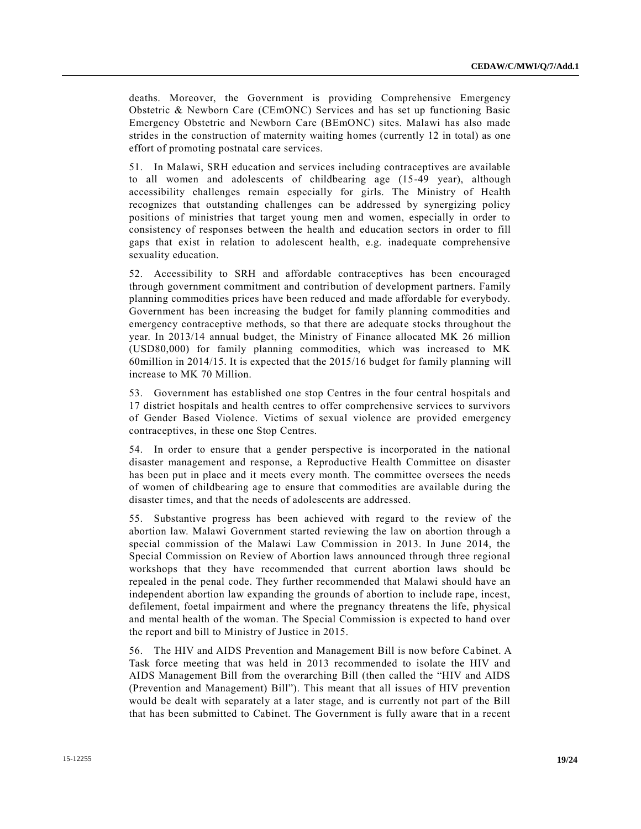deaths. Moreover, the Government is providing Comprehensive Emergency Obstetric & Newborn Care (CEmONC) Services and has set up functioning Basic Emergency Obstetric and Newborn Care (BEmONC) sites. Malawi has also made strides in the construction of maternity waiting homes (currently 12 in total) as one effort of promoting postnatal care services.

51. In Malawi, SRH education and services including contraceptives are available to all women and adolescents of childbearing age (15-49 year), although accessibility challenges remain especially for girls. The Ministry of Health recognizes that outstanding challenges can be addressed by synergizing policy positions of ministries that target young men and women, especially in order to consistency of responses between the health and education sectors in order to fill gaps that exist in relation to adolescent health, e.g. inadequate comprehensive sexuality education.

52. Accessibility to SRH and affordable contraceptives has been encouraged through government commitment and contribution of development partners. Family planning commodities prices have been reduced and made affordable for everybody. Government has been increasing the budget for family planning commodities and emergency contraceptive methods, so that there are adequate stocks throughout the year. In 2013/14 annual budget, the Ministry of Finance allocated MK 26 million (USD80,000) for family planning commodities, which was increased to MK 60million in 2014/15. It is expected that the 2015/16 budget for family planning will increase to MK 70 Million.

53. Government has established one stop Centres in the four central hospitals and 17 district hospitals and health centres to offer comprehensive services to survivors of Gender Based Violence. Victims of sexual violence are provided emergency contraceptives, in these one Stop Centres.

54. In order to ensure that a gender perspective is incorporated in the national disaster management and response, a Reproductive Health Committee on disaster has been put in place and it meets every month. The committee oversees the needs of women of childbearing age to ensure that commodities are available during the disaster times, and that the needs of adolescents are addressed.

55. Substantive progress has been achieved with regard to the review of the abortion law. Malawi Government started reviewing the law on abortion through a special commission of the Malawi Law Commission in 2013. In June 2014, the Special Commission on Review of Abortion laws announced through three regional workshops that they have recommended that current abortion laws should be repealed in the penal code. They further recommended that Malawi should have an independent abortion law expanding the grounds of abortion to include rape, incest, defilement, foetal impairment and where the pregnancy threatens the life, physical and mental health of the woman. The Special Commission is expected to hand over the report and bill to Ministry of Justice in 2015.

56. The HIV and AIDS Prevention and Management Bill is now before Cabinet. A Task force meeting that was held in 2013 recommended to isolate the HIV and AIDS Management Bill from the overarching Bill (then called the "HIV and AIDS (Prevention and Management) Bill"). This meant that all issues of HIV prevention would be dealt with separately at a later stage, and is currently not part of the Bill that has been submitted to Cabinet. The Government is fully aware that in a recent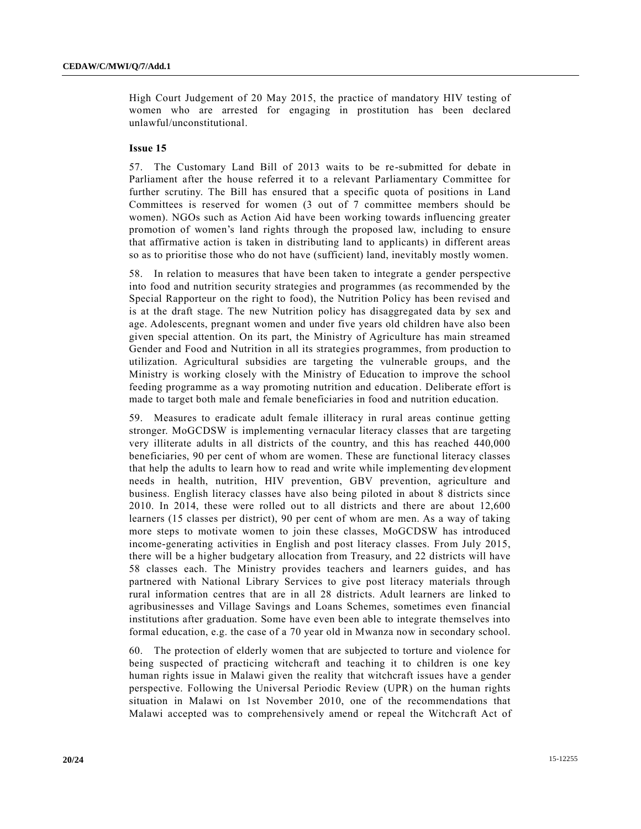High Court Judgement of 20 May 2015, the practice of mandatory HIV testing of women who are arrested for engaging in prostitution has been declared unlawful/unconstitutional.

#### **Issue 15**

57. The Customary Land Bill of 2013 waits to be re-submitted for debate in Parliament after the house referred it to a relevant Parliamentary Committee for further scrutiny. The Bill has ensured that a specific quota of positions in Land Committees is reserved for women (3 out of 7 committee members should be women). NGOs such as Action Aid have been working towards influencing greater promotion of women's land rights through the proposed law, including to ensure that affirmative action is taken in distributing land to applicants) in different areas so as to prioritise those who do not have (sufficient) land, inevitably mostly women.

58. In relation to measures that have been taken to integrate a gender perspective into food and nutrition security strategies and programmes (as recommended by the Special Rapporteur on the right to food), the Nutrition Policy has been revised and is at the draft stage. The new Nutrition policy has disaggregated data by sex and age. Adolescents, pregnant women and under five years old children have also been given special attention. On its part, the Ministry of Agriculture has main streamed Gender and Food and Nutrition in all its strategies programmes, from production to utilization. Agricultural subsidies are targeting the vulnerable groups, and the Ministry is working closely with the Ministry of Education to improve the school feeding programme as a way promoting nutrition and education. Deliberate effort is made to target both male and female beneficiaries in food and nutrition education.

59. Measures to eradicate adult female illiteracy in rural areas continue getting stronger. MoGCDSW is implementing vernacular literacy classes that are targeting very illiterate adults in all districts of the country, and this has reached 440,000 beneficiaries, 90 per cent of whom are women. These are functional literacy classes that help the adults to learn how to read and write while implementing development needs in health, nutrition, HIV prevention, GBV prevention, agriculture and business. English literacy classes have also being piloted in about 8 districts since 2010. In 2014, these were rolled out to all districts and there are about 12,600 learners (15 classes per district), 90 per cent of whom are men. As a way of taking more steps to motivate women to join these classes, MoGCDSW has introduced income-generating activities in English and post literacy classes. From July 2015, there will be a higher budgetary allocation from Treasury, and 22 districts will have 58 classes each. The Ministry provides teachers and learners guides, and has partnered with National Library Services to give post literacy materials through rural information centres that are in all 28 districts. Adult learners are linked to agribusinesses and Village Savings and Loans Schemes, sometimes even financial institutions after graduation. Some have even been able to integrate themselves into formal education, e.g. the case of a 70 year old in Mwanza now in secondary school.

60. The protection of elderly women that are subjected to torture and violence for being suspected of practicing witchcraft and teaching it to children is one key human rights issue in Malawi given the reality that witchcraft issues have a gender perspective. Following the Universal Periodic Review (UPR) on the human rights situation in Malawi on 1st November 2010, one of the recommendations that Malawi accepted was to comprehensively amend or repeal the Witchcraft Act of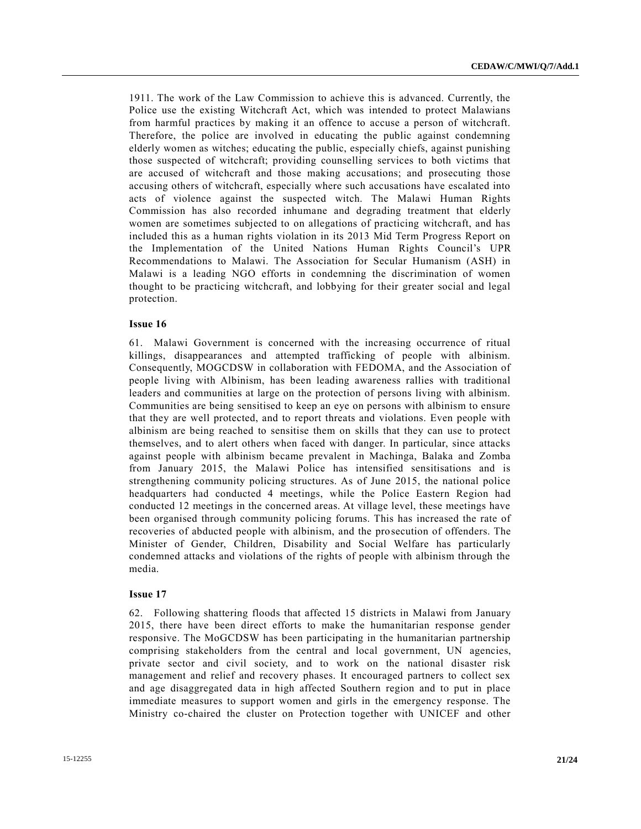1911. The work of the Law Commission to achieve this is advanced. Currently, the Police use the existing Witchcraft Act, which was intended to protect Malawians from harmful practices by making it an offence to accuse a person of witchcraft. Therefore, the police are involved in educating the public against condemning elderly women as witches; educating the public, especially chiefs, against punishing those suspected of witchcraft; providing counselling services to both victims that are accused of witchcraft and those making accusations; and prosecuting those accusing others of witchcraft, especially where such accusations have escalated into acts of violence against the suspected witch. The Malawi Human Rights Commission has also recorded inhumane and degrading treatment that elderly women are sometimes subjected to on allegations of practicing witchcraft, and has included this as a human rights violation in its 2013 Mid Term Progress Report on the Implementation of the United Nations Human Rights Council's UPR Recommendations to Malawi. The Association for Secular Humanism (ASH) in Malawi is a leading NGO efforts in condemning the discrimination of women thought to be practicing witchcraft, and lobbying for their greater social and legal protection.

#### **Issue 16**

61. Malawi Government is concerned with the increasing occurrence of ritual killings, disappearances and attempted trafficking of people with albinism. Consequently, MOGCDSW in collaboration with FEDOMA, and the Association of people living with Albinism, has been leading awareness rallies with traditional leaders and communities at large on the protection of persons living with albinism. Communities are being sensitised to keep an eye on persons with albinism to ensure that they are well protected, and to report threats and violations. Even people with albinism are being reached to sensitise them on skills that they can use to protect themselves, and to alert others when faced with danger. In particular, since attacks against people with albinism became prevalent in Machinga, Balaka and Zomba from January 2015, the Malawi Police has intensified sensitisations and is strengthening community policing structures. As of June 2015, the national police headquarters had conducted 4 meetings, while the Police Eastern Region had conducted 12 meetings in the concerned areas. At village level, these meetings have been organised through community policing forums. This has increased the rate of recoveries of abducted people with albinism, and the prosecution of offenders. The Minister of Gender, Children, Disability and Social Welfare has particularly condemned attacks and violations of the rights of people with albinism through the media.

#### **Issue 17**

62. Following shattering floods that affected 15 districts in Malawi from January 2015, there have been direct efforts to make the humanitarian response gender responsive. The MoGCDSW has been participating in the humanitarian partnership comprising stakeholders from the central and local government, UN agencies, private sector and civil society, and to work on the national disaster risk management and relief and recovery phases. It encouraged partners to collect sex and age disaggregated data in high affected Southern region and to put in place immediate measures to support women and girls in the emergency response. The Ministry co-chaired the cluster on Protection together with UNICEF and other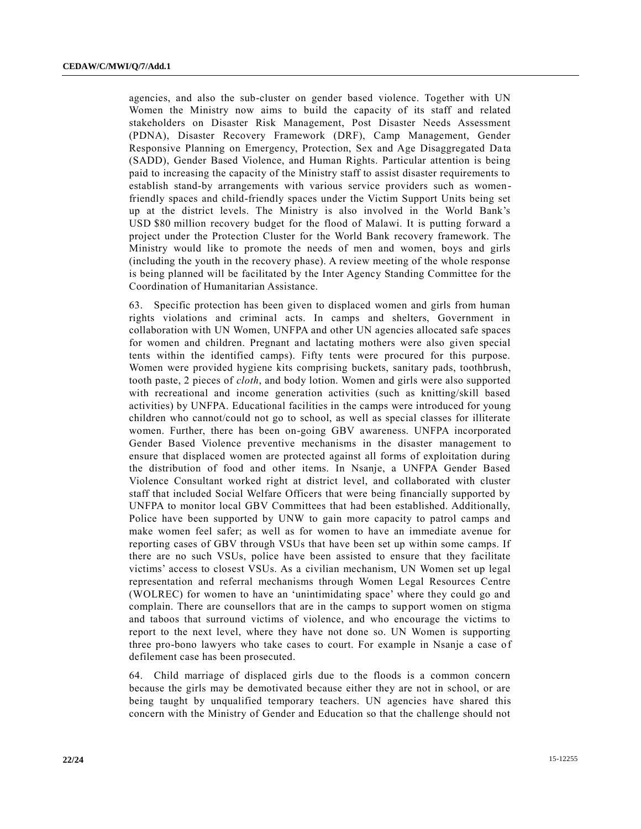agencies, and also the sub-cluster on gender based violence. Together with UN Women the Ministry now aims to build the capacity of its staff and related stakeholders on Disaster Risk Management, Post Disaster Needs Assessment (PDNA), Disaster Recovery Framework (DRF), Camp Management, Gender Responsive Planning on Emergency, Protection, Sex and Age Disaggregated Data (SADD), Gender Based Violence, and Human Rights. Particular attention is being paid to increasing the capacity of the Ministry staff to assist disaster requirements to establish stand-by arrangements with various service providers such as womenfriendly spaces and child-friendly spaces under the Victim Support Units being set up at the district levels. The Ministry is also involved in the World Bank's USD \$80 million recovery budget for the flood of Malawi. It is putting forward a project under the Protection Cluster for the World Bank recovery framework. The Ministry would like to promote the needs of men and women, boys and girls (including the youth in the recovery phase). A review meeting of the whole response is being planned will be facilitated by the Inter Agency Standing Committee for the Coordination of Humanitarian Assistance.

63. Specific protection has been given to displaced women and girls from human rights violations and criminal acts. In camps and shelters, Government in collaboration with UN Women, UNFPA and other UN agencies allocated safe spaces for women and children. Pregnant and lactating mothers were also given special tents within the identified camps). Fifty tents were procured for this purpose. Women were provided hygiene kits comprising buckets, sanitary pads, toothbrush, tooth paste, 2 pieces of *cloth*, and body lotion. Women and girls were also supported with recreational and income generation activities (such as knitting/skill based activities) by UNFPA. Educational facilities in the camps were introduced for young children who cannot/could not go to school, as well as special classes for illiterate women. Further, there has been on-going GBV awareness. UNFPA incorporated Gender Based Violence preventive mechanisms in the disaster management to ensure that displaced women are protected against all forms of exploitation during the distribution of food and other items. In Nsanje, a UNFPA Gender Based Violence Consultant worked right at district level, and collaborated with cluster staff that included Social Welfare Officers that were being financially supported by UNFPA to monitor local GBV Committees that had been established. Additionally, Police have been supported by UNW to gain more capacity to patrol camps and make women feel safer; as well as for women to have an immediate avenue for reporting cases of GBV through VSUs that have been set up within some camps. If there are no such VSUs, police have been assisted to ensure that they facilitate victims' access to closest VSUs. As a civilian mechanism, UN Women set up legal representation and referral mechanisms through Women Legal Resources Centre (WOLREC) for women to have an 'unintimidating space' where they could go and complain. There are counsellors that are in the camps to support women on stigma and taboos that surround victims of violence, and who encourage the victims to report to the next level, where they have not done so. UN Women is supporting three pro-bono lawyers who take cases to court. For example in Nsanje a case of defilement case has been prosecuted.

64. Child marriage of displaced girls due to the floods is a common concern because the girls may be demotivated because either they are not in school, or are being taught by unqualified temporary teachers. UN agencies have shared this concern with the Ministry of Gender and Education so that the challenge should not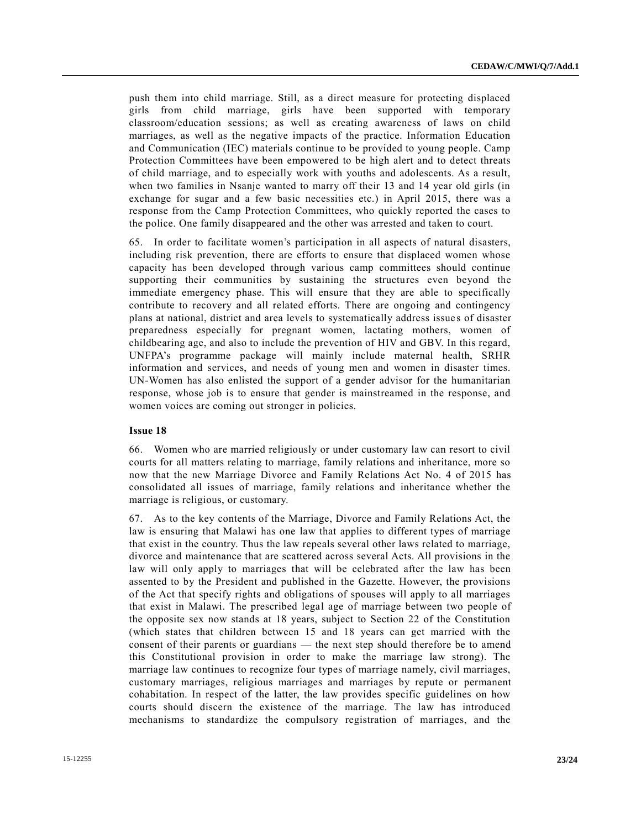push them into child marriage. Still, as a direct measure for protecting displaced girls from child marriage, girls have been supported with temporary classroom/education sessions; as well as creating awareness of laws on child marriages, as well as the negative impacts of the practice. Information Education and Communication (IEC) materials continue to be provided to young people. Camp Protection Committees have been empowered to be high alert and to detect threats of child marriage, and to especially work with youths and adolescents. As a result, when two families in Nsanje wanted to marry off their 13 and 14 year old girls (in exchange for sugar and a few basic necessities etc.) in April 2015, there was a response from the Camp Protection Committees, who quickly reported the cases to the police. One family disappeared and the other was arrested and taken to court.

65. In order to facilitate women's participation in all aspects of natural disasters, including risk prevention, there are efforts to ensure that displaced women whose capacity has been developed through various camp committees should continue supporting their communities by sustaining the structures even beyond the immediate emergency phase. This will ensure that they are able to specifically contribute to recovery and all related efforts. There are ongoing and contingency plans at national, district and area levels to systematically address issue s of disaster preparedness especially for pregnant women, lactating mothers, women of childbearing age, and also to include the prevention of HIV and GBV. In this regard, UNFPA's programme package will mainly include maternal health, SRHR information and services, and needs of young men and women in disaster times. UN-Women has also enlisted the support of a gender advisor for the humanitarian response, whose job is to ensure that gender is mainstreamed in the response, and women voices are coming out stronger in policies.

#### **Issue 18**

66. Women who are married religiously or under customary law can resort to civil courts for all matters relating to marriage, family relations and inheritance, more so now that the new Marriage Divorce and Family Relations Act No. 4 of 2015 has consolidated all issues of marriage, family relations and inheritance whether the marriage is religious, or customary.

67. As to the key contents of the Marriage, Divorce and Family Relations Act, the law is ensuring that Malawi has one law that applies to different types of marriage that exist in the country. Thus the law repeals several other laws related to marriage, divorce and maintenance that are scattered across several Acts. All provisions in the law will only apply to marriages that will be celebrated after the law has been assented to by the President and published in the Gazette. However, the provisions of the Act that specify rights and obligations of spouses will apply to all marriages that exist in Malawi. The prescribed legal age of marriage between two people of the opposite sex now stands at 18 years, subject to Section 22 of the Constitution (which states that children between 15 and 18 years can get married with the consent of their parents or guardians — the next step should therefore be to amend this Constitutional provision in order to make the marriage law strong). The marriage law continues to recognize four types of marriage namely, civil marriages, customary marriages, religious marriages and marriages by repute or permanent cohabitation. In respect of the latter, the law provides specific guidelines on how courts should discern the existence of the marriage. The law has introduced mechanisms to standardize the compulsory registration of marriages, and the